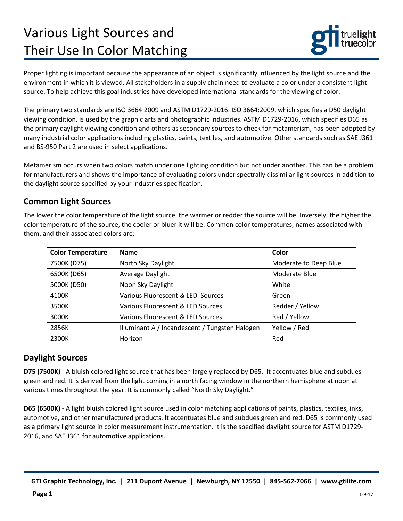# Various Light Sources and Their Use In Color Matching



Proper lighting is important because the appearance of an object is significantly influenced by the light source and the environment in which it is viewed. All stakeholders in a supply chain need to evaluate a color under a consistent light source. To help achieve this goal industries have developed international standards for the viewing of color.

The primary two standards are ISO 3664:2009 and ASTM D1729-2016. ISO 3664:2009, which specifies a D50 daylight viewing condition, is used by the graphic arts and photographic industries. ASTM D1729-2016, which specifies D65 as the primary daylight viewing condition and others as secondary sources to check for metamerism, has been adopted by many industrial color applications including plastics, paints, textiles, and automotive. Other standards such as SAE J361 and BS-950 Part 2 are used in select applications.

Metamerism occurs when two colors match under one lighting condition but not under another. This can be a problem for manufacturers and shows the importance of evaluating colors under spectrally dissimilar light sources in addition to the daylight source specified by your industries specification.

#### **Common Light Sources**

The lower the color temperature of the light source, the warmer or redder the source will be. Inversely, the higher the color temperature of the source, the cooler or bluer it will be. Common color temperatures, names associated with them, and their associated colors are:

| <b>Color Temperature</b> | <b>Name</b>                                    | Color                 |
|--------------------------|------------------------------------------------|-----------------------|
| 7500K (D75)              | North Sky Daylight                             | Moderate to Deep Blue |
| 6500K (D65)              | Average Daylight                               | Moderate Blue         |
| 5000K (D50)              | Noon Sky Daylight                              | White                 |
| 4100K                    | Various Fluorescent & LED Sources              | Green                 |
| 3500K                    | Various Fluorescent & LED Sources              | Redder / Yellow       |
| 3000K                    | Various Fluorescent & LED Sources              | Red / Yellow          |
| 2856K                    | Illuminant A / Incandescent / Tungsten Halogen | Yellow / Red          |
| 2300K                    | Horizon                                        | Red                   |

## **Daylight Sources**

**D75 (7500K)** - A bluish colored light source that has been largely replaced by D65. It accentuates blue and subdues green and red. It is derived from the light coming in a north facing window in the northern hemisphere at noon at various times throughout the year. It is commonly called "North Sky Daylight."

**D65 (6500K)** - A light bluish colored light source used in color matching applications of paints, plastics, textiles, inks, automotive, and other manufactured products. It accentuates blue and subdues green and red. D65 is commonly used as a primary light source in color measurement instrumentation. It is the specified daylight source for ASTM D1729- 2016, and SAE J361 for automotive applications.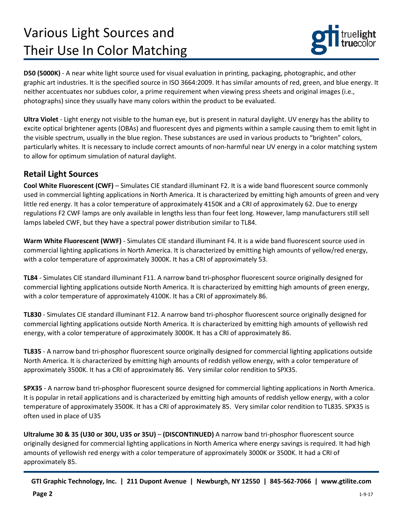# Various Light Sources and Their Use In Color Matching



**D50 (5000K)** - A near white light source used for visual evaluation in printing, packaging, photographic, and other graphic art industries. It is the specified source in ISO 3664:2009. It has similar amounts of red, green, and blue energy. It neither accentuates nor subdues color, a prime requirement when viewing press sheets and original images (i.e., photographs) since they usually have many colors within the product to be evaluated.

**Ultra Violet** - Light energy not visible to the human eye, but is present in natural daylight. UV energy has the ability to excite optical brightener agents (OBAs) and fluorescent dyes and pigments within a sample causing them to emit light in the visible spectrum, usually in the blue region. These substances are used in various products to "brighten" colors, particularly whites. It is necessary to include correct amounts of non-harmful near UV energy in a color matching system to allow for optimum simulation of natural daylight.

### **Retail Light Sources**

**Cool White Fluorescent (CWF)** – Simulates CIE standard illuminant F2. It is a wide band fluorescent source commonly used in commercial lighting applications in North America. It is characterized by emitting high amounts of green and very little red energy. It has a color temperature of approximately 4150K and a CRI of approximately 62. Due to energy regulations F2 CWF lamps are only available in lengths less than four feet long. However, lamp manufacturers still sell lamps labeled CWF, but they have a spectral power distribution similar to TL84.

**Warm White Fluorescent (WWF)** - Simulates CIE standard illuminant F4. It is a wide band fluorescent source used in commercial lighting applications in North America. It is characterized by emitting high amounts of yellow/red energy, with a color temperature of approximately 3000K. It has a CRI of approximately 53.

**TL84** - Simulates CIE standard illuminant F11. A narrow band tri-phosphor fluorescent source originally designed for commercial lighting applications outside North America. It is characterized by emitting high amounts of green energy, with a color temperature of approximately 4100K. It has a CRI of approximately 86.

**TL830** - Simulates CIE standard illuminant F12. A narrow band tri-phosphor fluorescent source originally designed for commercial lighting applications outside North America. It is characterized by emitting high amounts of yellowish red energy, with a color temperature of approximately 3000K. It has a CRI of approximately 86.

**TL835** - A narrow band tri-phosphor fluorescent source originally designed for commercial lighting applications outside North America. It is characterized by emitting high amounts of reddish yellow energy, with a color temperature of approximately 3500K. It has a CRI of approximately 86. Very similar color rendition to SPX35.

**SPX35** - A narrow band tri-phosphor fluorescent source designed for commercial lighting applications in North America. It is popular in retail applications and is characterized by emitting high amounts of reddish yellow energy, with a color temperature of approximately 3500K. It has a CRI of approximately 85. Very similar color rendition to TL835. SPX35 is often used in place of U35

**Ultralume 30 & 35 (U30 or 30U, U35 or 35U)** – **(DISCONTINUED)** A narrow band tri-phosphor fluorescent source originally designed for commercial lighting applications in North America where energy savings is required. It had high amounts of yellowish red energy with a color temperature of approximately 3000K or 3500K. It had a CRI of approximately 85.

**GTI Graphic Technology, Inc. | 211 Dupont Avenue | Newburgh, NY 12550 | 845-562-7066 | www.gtilite.com**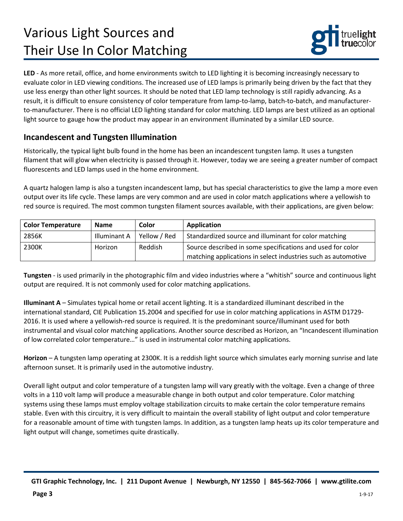# Various Light Sources and Their Use In Color Matching



**LED** - As more retail, office, and home environments switch to LED lighting it is becoming increasingly necessary to evaluate color in LED viewing conditions. The increased use of LED lamps is primarily being driven by the fact that they use less energy than other light sources. It should be noted that LED lamp technology is still rapidly advancing. As a result, it is difficult to ensure consistency of color temperature from lamp-to-lamp, batch-to-batch, and manufacturerto-manufacturer. There is no official LED lighting standard for color matching. LED lamps are best utilized as an optional light source to gauge how the product may appear in an environment illuminated by a similar LED source.

### **Incandescent and Tungsten Illumination**

Historically, the typical light bulb found in the home has been an incandescent tungsten lamp. It uses a tungsten filament that will glow when electricity is passed through it. However, today we are seeing a greater number of compact fluorescents and LED lamps used in the home environment.

A quartz halogen lamp is also a tungsten incandescent lamp, but has special characteristics to give the lamp a more even output over its life cycle. These lamps are very common and are used in color match applications where a yellowish to red source is required. The most common tungsten filament sources available, with their applications, are given below:

| <b>Color Temperature</b> | <b>Name</b>  | Color        | Application                                                                                                                 |
|--------------------------|--------------|--------------|-----------------------------------------------------------------------------------------------------------------------------|
| 2856K                    | Illuminant A | Yellow / Red | Standardized source and illuminant for color matching                                                                       |
| 2300K                    | Horizon      | Reddish      | Source described in some specifications and used for color<br>matching applications in select industries such as automotive |

**Tungsten** - is used primarily in the photographic film and video industries where a "whitish" source and continuous light output are required. It is not commonly used for color matching applications.

**Illuminant A** – Simulates typical home or retail accent lighting. It is a standardized illuminant described in the international standard, CIE Publication 15.2004 and specified for use in color matching applications in ASTM D1729- 2016. It is used where a yellowish-red source is required. It is the predominant source/illuminant used for both instrumental and visual color matching applications. Another source described as Horizon, an "Incandescent illumination of low correlated color temperature…" is used in instrumental color matching applications.

**Horizon** – A tungsten lamp operating at 2300K. It is a reddish light source which simulates early morning sunrise and late afternoon sunset. It is primarily used in the automotive industry.

Overall light output and color temperature of a tungsten lamp will vary greatly with the voltage. Even a change of three volts in a 110 volt lamp will produce a measurable change in both output and color temperature. Color matching systems using these lamps must employ voltage stabilization circuits to make certain the color temperature remains stable. Even with this circuitry, it is very difficult to maintain the overall stability of light output and color temperature for a reasonable amount of time with tungsten lamps. In addition, as a tungsten lamp heats up its color temperature and light output will change, sometimes quite drastically.